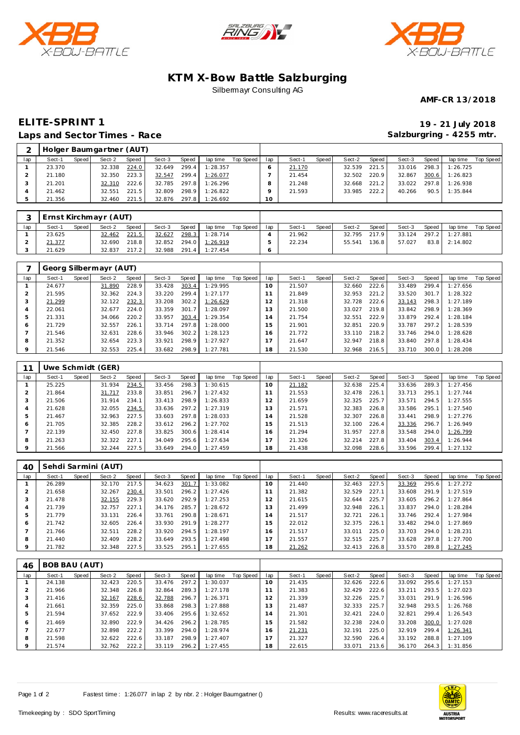





## **KTM X-Bow Battle Salzburging** Silbermayr Consulting AG

**AMF-CR 13/2018**

## **ELITE-SPRINT 1 19 - 21 July 2018 Laps and Sector Times - Race**

**Salzburgring - 4255 mtr.**

|                | _____________________ |       |                          |       |        |       |                |                    |     |        |       |        |       |        | ີ     |          |           |
|----------------|-----------------------|-------|--------------------------|-------|--------|-------|----------------|--------------------|-----|--------|-------|--------|-------|--------|-------|----------|-----------|
| $\overline{2}$ |                       |       | Holger Baumgartner (AUT) |       |        |       |                |                    |     |        |       |        |       |        |       |          |           |
| lap            | Sect-1                | Speed | Sect-2                   | Speed | Sect-3 | Speed |                | lap time Top Speed | lap | Sect-1 | Speed | Sect-2 | Speed | Sect-3 | Speed | lap time | Top Speed |
|                | 23.370                |       | 32.338                   | 224.0 | 32.649 | 299.4 | 1:28.357       |                    | 6   | 21.170 |       | 32.539 | 221.5 | 33.016 | 298.3 | 1:26.725 |           |
|                | 21.180                |       | 32.350                   | 223.3 | 32.547 |       | 299.4 1:26.077 |                    |     | 21.454 |       | 32.502 | 220.9 | 32.867 | 300.6 | 1:26.823 |           |
|                | 21.201                |       | 32.310                   | 222.6 | 32.785 |       | 297.8 1:26.296 |                    | 8   | 21.248 |       | 32.668 | 221.2 | 33.022 | 297.8 | 1:26.938 |           |
|                | 21.462                |       | 32.551                   | 221.5 | 32.809 | 298.9 | 1:26.822       |                    |     | 21.593 |       | 33.985 | 222.2 | 40.266 | 90.5  | 1:35.844 |           |
|                | 21.356                |       | 32.460                   | 221.5 | 32.876 |       | 297.8 1:26.692 |                    | 10  |        |       |        |       |        |       |          |           |

|     | Ernst Kirchmayr (AUT) |         |        |       |        |       |                |           |     |        |       |              |       |        |       |                |           |
|-----|-----------------------|---------|--------|-------|--------|-------|----------------|-----------|-----|--------|-------|--------------|-------|--------|-------|----------------|-----------|
| lap | Sect-1                | Speed I | Sect-2 | Speed | Sect-3 | Speed | lap time       | Top Speed | lap | Sect-1 | Speed | Sect-2       | Speed | Sect-3 | Speed | lap time       | Top Speed |
|     | 23.625                |         | 32.462 | 221.5 | 32.627 | 298.3 | 1:28.714       |           |     | 21.962 |       | 32.795 217.9 |       | 33.124 |       | 297.2 1:27.881 |           |
|     | 21.377                |         | 32.690 | 218.8 | 32.852 |       | 294.0 1:26.919 |           |     | 22.234 |       | 55.541       | 136.8 | 57.027 | 83.8  | 2:14.802       |           |
|     | 21.629                |         | 32.837 | 217.2 | 32.988 | 291.4 | 1:27.454       |           |     |        |       |              |       |        |       |                |           |

|         |        |       | Georg Silbermayr (AUT) |       |        |                       |          |           |     |        |       |        |       |        |       |          |           |
|---------|--------|-------|------------------------|-------|--------|-----------------------|----------|-----------|-----|--------|-------|--------|-------|--------|-------|----------|-----------|
| lap     | Sect-1 | Speed | Sect-2                 | Speed | Sect-3 | Speed                 | lap time | Top Speed | lap | Sect-1 | Speed | Sect-2 | Speed | Sect-3 | Speed | lap time | Top Speed |
|         | 24.677 |       | 31.890                 | 228.9 | 33.428 | 303.4                 | 1:29.995 |           | 10  | 21.507 |       | 32.660 | 222.6 | 33.489 | 299.4 | 1:27.656 |           |
|         | 21.595 |       | 32.362                 | 224.3 | 33.220 | 299.4                 | 1:27.177 |           |     | 21.849 |       | 32.953 | 221.2 | 33.520 | 301.7 | 1:28.322 |           |
|         | 21.299 |       | 32.122                 | 232.3 | 33.208 | 302.2                 | 1:26.629 |           | 12  | 21.318 |       | 32.728 | 222.6 | 33.143 | 298.3 | 1:27.189 |           |
| 4       | 22.061 |       | 32.677                 | 224.0 | 33.359 | 301<br>$\overline{7}$ | 1:28.097 |           | 13  | 21.500 |       | 33.027 | 219.8 | 33.842 | 298.9 | 1:28.369 |           |
| 5       | 21.331 |       | 34.066                 | 220.2 | 33.957 | 303.4                 | 1:29.354 |           | 14  | 21.754 |       | 32.551 | 222.9 | 33.879 | 292.4 | 1:28.184 |           |
| 6       | 21.729 |       | 32.557                 | 226.1 | 33.714 | 297.8                 | 1:28.000 |           | 15  | 21.901 |       | 32.851 | 220.9 | 33.787 | 297.2 | 1:28.539 |           |
|         | 21.546 |       | 32.631                 | 228.6 | 33.946 | 302.2                 | 1:28.123 |           | 16  | 21.772 |       | 33.110 | 218.2 | 33.746 | 294.0 | 1:28.628 |           |
| 8       | 21.352 |       | 32.654                 | 223.3 | 33.921 | 298.9                 | 1:27.927 |           |     | 21.647 |       | 32.947 | 218.8 | 33.840 | 297.8 | 1:28.434 |           |
| $\circ$ | 21.546 |       | 32.553                 | 225.4 | 33.682 | 298.9                 | 1:27.781 |           | 81  | 21.530 |       | 32.968 | 216.5 | 33.710 | 300.0 | 1:28.208 |           |

|     |        |       | Uwe Schmidt (GER) |       |        |       |          |           |                |        |       |        |       |        |       |          |           |
|-----|--------|-------|-------------------|-------|--------|-------|----------|-----------|----------------|--------|-------|--------|-------|--------|-------|----------|-----------|
| lap | Sect-1 | Speed | Sect-2            | Speed | Sect-3 | Speed | lap time | Top Speed | lap            | Sect-1 | Speed | Sect-2 | Speed | Sect-3 | Speed | lap time | Top Speed |
|     | 25.225 |       | 31.934            | 234.5 | 33.456 | 298.3 | 1:30.615 |           | 10             | 21.182 |       | 32.638 | 225.4 | 33.636 | 289.3 | 1:27.456 |           |
|     | 21.864 |       | 31.717            | 233.8 | 33.851 | 296.7 | 1:27.432 |           |                | 21.553 |       | 32.478 | 226.1 | 33.713 | 295.1 | 1:27.744 |           |
| 3   | 21.506 |       | 31.914            | 234.1 | 33.413 | 298.9 | 1:26.833 |           | 2              | 21.659 |       | 32.325 | 225.7 | 33.571 | 294.5 | 1:27.555 |           |
| 4   | 21.628 |       | 32.055            | 234.5 | 33.636 | 297.2 | 1:27.319 |           | l 3            | 21.571 |       | 32.383 | 226.8 | 33.586 | 295.1 | 1:27.540 |           |
| 5   | 21.467 |       | 32.963            | 227.5 | 33.603 | 297.8 | 1:28.033 |           | $\overline{4}$ | 21.528 |       | 32.307 | 226.8 | 33.441 | 298.9 | 1:27.276 |           |
| O   | 21.705 |       | 32.385            | 228.2 | 33.612 | 296.2 | 1:27.702 |           | 5              | 21.513 |       | 32.100 | 226.4 | 33.336 | 296.7 | 1:26.949 |           |
|     | 22.139 |       | 32.450            | 227.8 | 33.825 | 300.6 | 1:28.414 |           | 16.            | 21.294 |       | 31.957 | 227.8 | 33.548 | 294.0 | 1:26.799 |           |
| 8   | 21.263 |       | 32.322            | 227.1 | 34.049 | 295.6 | 1:27.634 |           |                | 21.326 |       | 32.214 | 227.8 | 33.404 | 303.4 | 1:26.944 |           |
|     | 21.566 |       | 32.244            | 227.5 | 33.649 | 294.0 | 1:27.459 |           | 18             | 21.438 |       | 32.098 | 228.6 | 33.596 | 299.4 | 1:27.132 |           |

| 40             |        |       | Sehdi Sarmini (AUT) |       |        |       |          |           |                |        |       |        |       |        |       |          |           |
|----------------|--------|-------|---------------------|-------|--------|-------|----------|-----------|----------------|--------|-------|--------|-------|--------|-------|----------|-----------|
| lap            | Sect-1 | Speed | Sect-2              | Speed | Sect-3 | Speed | lap time | Top Speed | lap            | Sect-1 | Speed | Sect-2 | Speed | Sect-3 | Speed | lap time | Top Speed |
|                | 26.289 |       | 32.170              | 217.5 | 34.623 | 301.7 | 1:33.082 |           | 10             | 21.440 |       | 32.463 | 227.5 | 33.369 | 295.6 | 1:27.272 |           |
|                | 21.658 |       | 32.267              | 230.4 | 33.501 | 296.2 | 1:27.426 |           |                | 21.382 |       | 32.529 | 227.1 | 33.608 | 291.9 | 1:27.519 |           |
| 3              | 21.478 |       | 32.155              | 229.3 | 33.620 | 292.9 | 1:27.253 |           | 2              | 21.615 |       | 32.644 | 225.7 | 33.605 | 296.2 | 1:27.864 |           |
| $\overline{4}$ | 21.739 |       | 32.757              | 227.1 | 34.176 | 285.7 | 1:28.672 |           | 3              | 21.499 |       | 32.948 | 226.1 | 33.837 | 294.0 | 1:28.284 |           |
| 5              | 21.779 |       | 33.131              | 226.4 | 33.761 | 290.8 | 1:28.671 |           | $\overline{4}$ | 21.517 |       | 32.721 | 226.1 | 33.746 | 292.4 | 1:27.984 |           |
| 6              | 21.742 |       | 32.605              | 226.4 | 33.930 | 291.9 | 1:28.277 |           | 15             | 22.012 |       | 32.375 | 226.1 | 33.482 | 294.0 | 1:27.869 |           |
|                | 21.766 |       | 32.511              | 228.2 | 33.920 | 294.5 | 1:28.197 |           | 16.            | 21.517 |       | 33.011 | 225.0 | 33.703 | 294.0 | 1:28.231 |           |
| 8              | 21.440 |       | 32.409              | 228.2 | 33.649 | 293.5 | 1:27.498 |           |                | 21.557 |       | 32.515 | 225.7 | 33.628 | 297.8 | 1:27.700 |           |
| 9              | 21.782 |       | 32.348              | 227.5 | 33.525 | 295.1 | 1:27.655 |           | 18             | 21.262 |       | 32.413 | 226.8 | 33.570 | 289.8 | 1:27.245 |           |

| 46             | BOB BAU (AUT) |         |        |       |        |       |          |           |     |        |       |        |       |        |       |          |           |
|----------------|---------------|---------|--------|-------|--------|-------|----------|-----------|-----|--------|-------|--------|-------|--------|-------|----------|-----------|
| lap            | Sect-1        | Speed ! | Sect-2 | Speed | Sect-3 | Speed | lap time | Top Speed | lap | Sect-1 | Speed | Sect-2 | Speed | Sect-3 | Speed | lap time | Top Speed |
|                | 24.138        |         | 32.423 | 220.5 | 33.476 | 297.2 | 1:30.037 |           | 10  | 21.435 |       | 32.626 | 222.6 | 33.092 | 295.6 | 1:27.153 |           |
| 2              | 21.966        |         | 32.348 | 226.8 | 32.864 | 289.3 | 1:27.178 |           |     | 21.383 |       | 32.429 | 222.6 | 33.211 | 293.5 | 1:27.023 |           |
|                | 21.416        |         | 32.167 | 228.6 | 32.788 | 296.7 | 1:26.371 |           | 12  | 21.339 |       | 32.226 | 225.7 | 33.031 | 291.9 | 1:26.596 |           |
| $\overline{4}$ | 21.661        |         | 32.359 | 225.0 | 33.868 | 298.3 | 1:27.888 |           | 13  | 21.487 |       | 32.333 | 225.7 | 32.948 | 293.5 | 1:26.768 |           |
| 5              | 21.594        |         | 37.652 | 222.9 | 33.406 | 295.6 | 1:32.652 |           | 14  | 21.301 |       | 32.421 | 224.0 | 32.821 | 299.4 | 1:26.543 |           |
| 6              | 21.469        |         | 32.890 | 222.9 | 34.426 | 296.2 | 1:28.785 |           | 15  | 21.582 |       | 32.238 | 224.0 | 33.208 | 300.0 | 1:27.028 |           |
|                | 22.677        |         | 32.898 | 222.2 | 33.399 | 294.0 | 1:28.974 |           | 16  | 21.231 |       | 32.191 | 225.0 | 32.919 | 299.4 | 1:26.341 |           |
| 8              | 21.598        |         | 32.622 | 222.6 | 33.187 | 298.9 | 1:27.407 |           |     | 21.327 |       | 32.590 | 226.4 | 33.192 | 288.8 | 1:27.109 |           |
| $\circ$        | 21.574        |         | 32.762 | 222.2 | 33.119 | 296.2 | 1:27.455 |           | 18  | 22.615 |       | 33.071 | 213.6 | 36.170 | 264.3 | 1:31.856 |           |